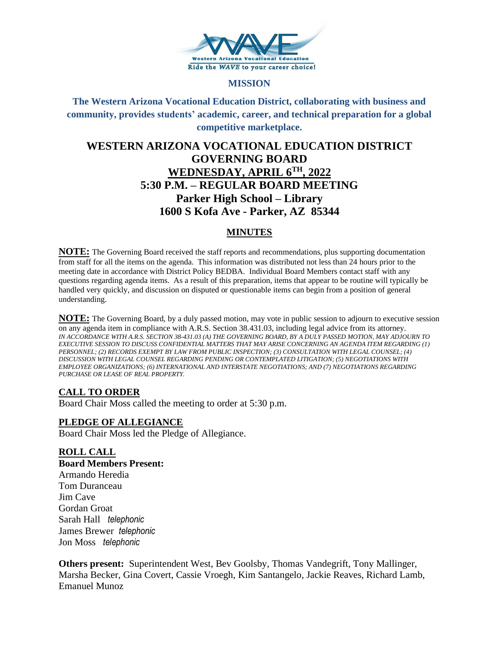

#### **MISSION**

**The Western Arizona Vocational Education District, collaborating with business and community, provides students' academic, career, and technical preparation for a global competitive marketplace.**

# **WESTERN ARIZONA VOCATIONAL EDUCATION DISTRICT GOVERNING BOARD WEDNESDAY, APRIL 6TH, 2022 5:30 P.M. – REGULAR BOARD MEETING Parker High School – Library 1600 S Kofa Ave - Parker, AZ 85344**

### **MINUTES**

**NOTE:** The Governing Board received the staff reports and recommendations, plus supporting documentation from staff for all the items on the agenda. This information was distributed not less than 24 hours prior to the meeting date in accordance with District Policy BEDBA. Individual Board Members contact staff with any questions regarding agenda items. As a result of this preparation, items that appear to be routine will typically be handled very quickly, and discussion on disputed or questionable items can begin from a position of general understanding.

**NOTE:** The Governing Board, by a duly passed motion, may vote in public session to adjourn to executive session on any agenda item in compliance with A.R.S. Section 38.431.03, including legal advice from its attorney. *IN ACCORDANCE WITH A.R.S. SECTION 38-431.03 (A) THE GOVERNING BOARD, BY A DULY PASSED MOTION, MAY ADJOURN TO EXECUTIVE SESSION TO DISCUSS CONFIDENTIAL MATTERS THAT MAY ARISE CONCERNING AN AGENDA ITEM REGARDING (1) PERSONNEL; (2) RECORDS EXEMPT BY LAW FROM PUBLIC INSPECTION; (3) CONSULTATION WITH LEGAL COUNSEL; (4) DISCUSSION WITH LEGAL COUNSEL REGARDING PENDING OR CONTEMPLATED LITIGATION; (5) NEGOTIATIONS WITH EMPLOYEE ORGANIZATIONS; (6) INTERNATIONAL AND INTERSTATE NEGOTIATIONS; AND (7) NEGOTIATIONS REGARDING PURCHASE OR LEASE OF REAL PROPERTY.*

### **CALL TO ORDER**

Board Chair Moss called the meeting to order at 5:30 p.m.

#### **PLEDGE OF ALLEGIANCE**

Board Chair Moss led the Pledge of Allegiance.

### **ROLL CALL**

**Board Members Present:** Armando Heredia Tom Duranceau Jim Cave Gordan Groat Sarah Hall *telephonic* James Brewer *telephonic* Jon Moss *telephonic*

**Others present:** Superintendent West, Bev Goolsby, Thomas Vandegrift, Tony Mallinger, Marsha Becker, Gina Covert, Cassie Vroegh, Kim Santangelo, Jackie Reaves, Richard Lamb, Emanuel Munoz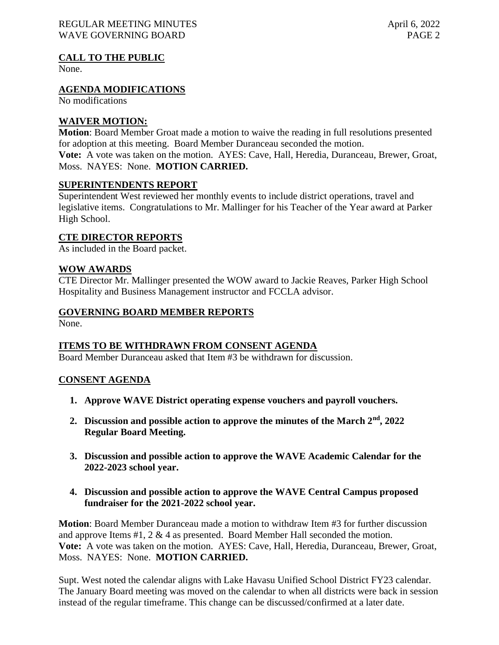#### **CALL TO THE PUBLIC**

None.

#### **AGENDA MODIFICATIONS**

No modifications

#### **WAIVER MOTION:**

**Motion**: Board Member Groat made a motion to waive the reading in full resolutions presented for adoption at this meeting. Board Member Duranceau seconded the motion. **Vote:** A vote was taken on the motion. AYES: Cave, Hall, Heredia, Duranceau, Brewer, Groat, Moss. NAYES: None. **MOTION CARRIED.**

#### **SUPERINTENDENTS REPORT**

Superintendent West reviewed her monthly events to include district operations, travel and legislative items. Congratulations to Mr. Mallinger for his Teacher of the Year award at Parker High School.

### **CTE DIRECTOR REPORTS**

As included in the Board packet.

#### **WOW AWARDS**

CTE Director Mr. Mallinger presented the WOW award to Jackie Reaves, Parker High School Hospitality and Business Management instructor and FCCLA advisor.

#### **GOVERNING BOARD MEMBER REPORTS**

None.

### **ITEMS TO BE WITHDRAWN FROM CONSENT AGENDA**

Board Member Duranceau asked that Item #3 be withdrawn for discussion.

#### **CONSENT AGENDA**

- **1. Approve WAVE District operating expense vouchers and payroll vouchers.**
- **2. Discussion and possible action to approve the minutes of the March 2nd, 2022 Regular Board Meeting.**
- **3. Discussion and possible action to approve the WAVE Academic Calendar for the 2022-2023 school year.**
- **4. Discussion and possible action to approve the WAVE Central Campus proposed fundraiser for the 2021-2022 school year.**

**Motion**: Board Member Duranceau made a motion to withdraw Item #3 for further discussion and approve Items #1, 2 & 4 as presented. Board Member Hall seconded the motion. **Vote:** A vote was taken on the motion. AYES: Cave, Hall, Heredia, Duranceau, Brewer, Groat, Moss. NAYES: None. **MOTION CARRIED.**

Supt. West noted the calendar aligns with Lake Havasu Unified School District FY23 calendar. The January Board meeting was moved on the calendar to when all districts were back in session instead of the regular timeframe. This change can be discussed/confirmed at a later date.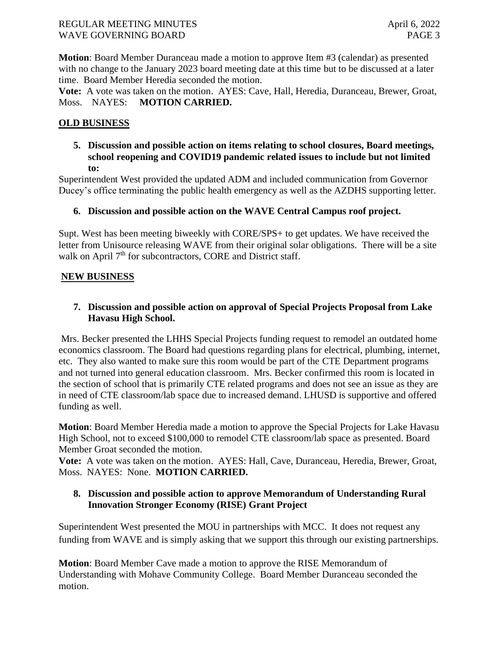**Motion**: Board Member Duranceau made a motion to approve Item #3 (calendar) as presented with no change to the January 2023 board meeting date at this time but to be discussed at a later time. Board Member Heredia seconded the motion.

**Vote:** A vote was taken on the motion. AYES: Cave, Hall, Heredia, Duranceau, Brewer, Groat, Moss. NAYES: **MOTION CARRIED.**

# **OLD BUSINESS**

**5. Discussion and possible action on items relating to school closures, Board meetings, school reopening and COVID19 pandemic related issues to include but not limited to:** 

Superintendent West provided the updated ADM and included communication from Governor Ducey's office terminating the public health emergency as well as the AZDHS supporting letter.

### **6. Discussion and possible action on the WAVE Central Campus roof project.**

Supt. West has been meeting biweekly with CORE/SPS+ to get updates. We have received the letter from Unisource releasing WAVE from their original solar obligations. There will be a site walk on April  $7<sup>th</sup>$  for subcontractors, CORE and District staff.

### **NEW BUSINESS**

# **7. Discussion and possible action on approval of Special Projects Proposal from Lake Havasu High School.**

Mrs. Becker presented the LHHS Special Projects funding request to remodel an outdated home economics classroom. The Board had questions regarding plans for electrical, plumbing, internet, etc. They also wanted to make sure this room would be part of the CTE Department programs and not turned into general education classroom. Mrs. Becker confirmed this room is located in the section of school that is primarily CTE related programs and does not see an issue as they are in need of CTE classroom/lab space due to increased demand. LHUSD is supportive and offered funding as well.

**Motion**: Board Member Heredia made a motion to approve the Special Projects for Lake Havasu High School, not to exceed \$100,000 to remodel CTE classroom/lab space as presented. Board Member Groat seconded the motion.

**Vote:** A vote was taken on the motion. AYES: Hall, Cave, Duranceau, Heredia, Brewer, Groat, Moss. NAYES: None. **MOTION CARRIED.**

# **8. Discussion and possible action to approve Memorandum of Understanding Rural Innovation Stronger Economy (RISE) Grant Project**

Superintendent West presented the MOU in partnerships with MCC. It does not request any funding from WAVE and is simply asking that we support this through our existing partnerships.

**Motion**: Board Member Cave made a motion to approve the RISE Memorandum of Understanding with Mohave Community College. Board Member Duranceau seconded the motion.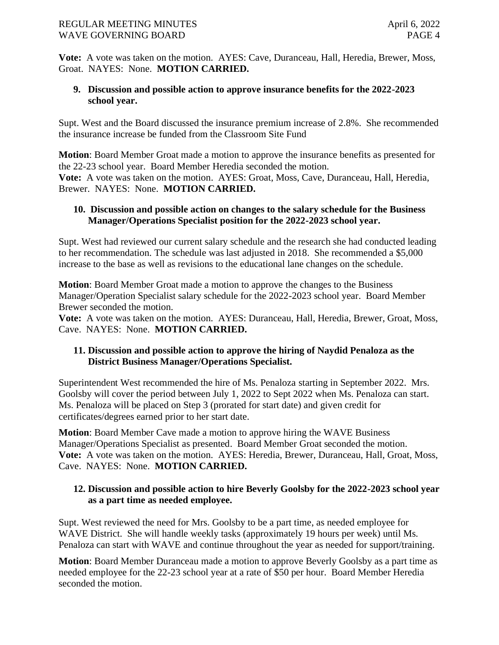**Vote:** A vote was taken on the motion. AYES: Cave, Duranceau, Hall, Heredia, Brewer, Moss, Groat. NAYES: None. **MOTION CARRIED.**

# **9. Discussion and possible action to approve insurance benefits for the 2022-2023 school year.**

Supt. West and the Board discussed the insurance premium increase of 2.8%. She recommended the insurance increase be funded from the Classroom Site Fund

**Motion**: Board Member Groat made a motion to approve the insurance benefits as presented for the 22-23 school year. Board Member Heredia seconded the motion. **Vote:** A vote was taken on the motion. AYES: Groat, Moss, Cave, Duranceau, Hall, Heredia, Brewer. NAYES: None. **MOTION CARRIED.**

#### **10. Discussion and possible action on changes to the salary schedule for the Business Manager/Operations Specialist position for the 2022-2023 school year.**

Supt. West had reviewed our current salary schedule and the research she had conducted leading to her recommendation. The schedule was last adjusted in 2018. She recommended a \$5,000 increase to the base as well as revisions to the educational lane changes on the schedule.

**Motion**: Board Member Groat made a motion to approve the changes to the Business Manager/Operation Specialist salary schedule for the 2022-2023 school year. Board Member Brewer seconded the motion.

**Vote:** A vote was taken on the motion. AYES: Duranceau, Hall, Heredia, Brewer, Groat, Moss, Cave. NAYES: None. **MOTION CARRIED.**

### **11. Discussion and possible action to approve the hiring of Naydid Penaloza as the District Business Manager/Operations Specialist.**

Superintendent West recommended the hire of Ms. Penaloza starting in September 2022. Mrs. Goolsby will cover the period between July 1, 2022 to Sept 2022 when Ms. Penaloza can start. Ms. Penaloza will be placed on Step 3 (prorated for start date) and given credit for certificates/degrees earned prior to her start date.

**Motion**: Board Member Cave made a motion to approve hiring the WAVE Business Manager/Operations Specialist as presented. Board Member Groat seconded the motion. **Vote:** A vote was taken on the motion. AYES: Heredia, Brewer, Duranceau, Hall, Groat, Moss, Cave. NAYES: None. **MOTION CARRIED.**

### **12. Discussion and possible action to hire Beverly Goolsby for the 2022-2023 school year as a part time as needed employee.**

Supt. West reviewed the need for Mrs. Goolsby to be a part time, as needed employee for WAVE District. She will handle weekly tasks (approximately 19 hours per week) until Ms. Penaloza can start with WAVE and continue throughout the year as needed for support/training.

**Motion**: Board Member Duranceau made a motion to approve Beverly Goolsby as a part time as needed employee for the 22-23 school year at a rate of \$50 per hour. Board Member Heredia seconded the motion.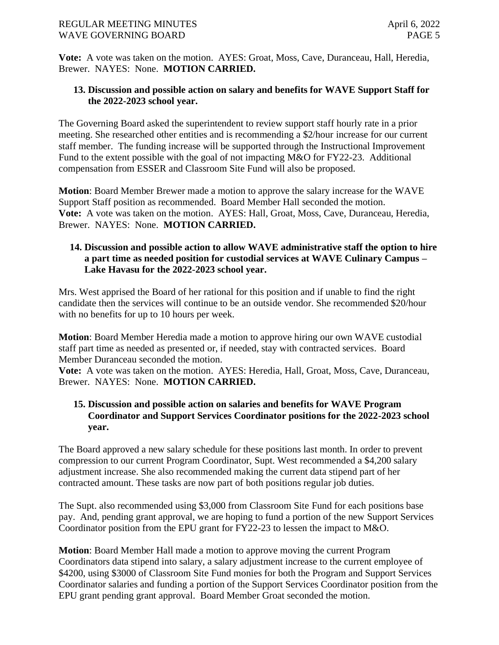#### REGULAR MEETING MINUTES April 6, 2022 WAVE GOVERNING BOARD **PAGE 5**

**Vote:** A vote was taken on the motion. AYES: Groat, Moss, Cave, Duranceau, Hall, Heredia, Brewer. NAYES: None. **MOTION CARRIED.**

# **13. Discussion and possible action on salary and benefits for WAVE Support Staff for the 2022-2023 school year.**

The Governing Board asked the superintendent to review support staff hourly rate in a prior meeting. She researched other entities and is recommending a \$2/hour increase for our current staff member. The funding increase will be supported through the Instructional Improvement Fund to the extent possible with the goal of not impacting M&O for FY22-23. Additional compensation from ESSER and Classroom Site Fund will also be proposed.

**Motion**: Board Member Brewer made a motion to approve the salary increase for the WAVE Support Staff position as recommended. Board Member Hall seconded the motion. **Vote:** A vote was taken on the motion. AYES: Hall, Groat, Moss, Cave, Duranceau, Heredia, Brewer. NAYES: None. **MOTION CARRIED.**

### **14. Discussion and possible action to allow WAVE administrative staff the option to hire a part time as needed position for custodial services at WAVE Culinary Campus – Lake Havasu for the 2022-2023 school year.**

Mrs. West apprised the Board of her rational for this position and if unable to find the right candidate then the services will continue to be an outside vendor. She recommended \$20/hour with no benefits for up to 10 hours per week.

**Motion**: Board Member Heredia made a motion to approve hiring our own WAVE custodial staff part time as needed as presented or, if needed, stay with contracted services. Board Member Duranceau seconded the motion.

**Vote:** A vote was taken on the motion. AYES: Heredia, Hall, Groat, Moss, Cave, Duranceau, Brewer. NAYES: None. **MOTION CARRIED.**

### **15. Discussion and possible action on salaries and benefits for WAVE Program Coordinator and Support Services Coordinator positions for the 2022-2023 school year.**

The Board approved a new salary schedule for these positions last month. In order to prevent compression to our current Program Coordinator, Supt. West recommended a \$4,200 salary adjustment increase. She also recommended making the current data stipend part of her contracted amount. These tasks are now part of both positions regular job duties.

The Supt. also recommended using \$3,000 from Classroom Site Fund for each positions base pay. And, pending grant approval, we are hoping to fund a portion of the new Support Services Coordinator position from the EPU grant for FY22-23 to lessen the impact to M&O.

**Motion**: Board Member Hall made a motion to approve moving the current Program Coordinators data stipend into salary, a salary adjustment increase to the current employee of \$4200, using \$3000 of Classroom Site Fund monies for both the Program and Support Services Coordinator salaries and funding a portion of the Support Services Coordinator position from the EPU grant pending grant approval. Board Member Groat seconded the motion.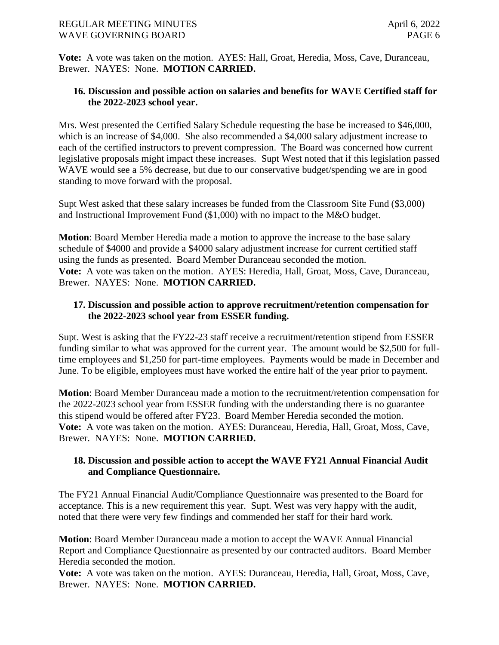#### REGULAR MEETING MINUTES April 6, 2022 WAVE GOVERNING BOARD **PAGE 6**

**Vote:** A vote was taken on the motion. AYES: Hall, Groat, Heredia, Moss, Cave, Duranceau, Brewer. NAYES: None. **MOTION CARRIED.**

### **16. Discussion and possible action on salaries and benefits for WAVE Certified staff for the 2022-2023 school year.**

Mrs. West presented the Certified Salary Schedule requesting the base be increased to \$46,000, which is an increase of \$4,000. She also recommended a \$4,000 salary adjustment increase to each of the certified instructors to prevent compression. The Board was concerned how current legislative proposals might impact these increases. Supt West noted that if this legislation passed WAVE would see a 5% decrease, but due to our conservative budget/spending we are in good standing to move forward with the proposal.

Supt West asked that these salary increases be funded from the Classroom Site Fund (\$3,000) and Instructional Improvement Fund (\$1,000) with no impact to the M&O budget.

**Motion**: Board Member Heredia made a motion to approve the increase to the base salary schedule of \$4000 and provide a \$4000 salary adjustment increase for current certified staff using the funds as presented. Board Member Duranceau seconded the motion. **Vote:** A vote was taken on the motion. AYES: Heredia, Hall, Groat, Moss, Cave, Duranceau, Brewer. NAYES: None. **MOTION CARRIED.**

# **17. Discussion and possible action to approve recruitment/retention compensation for the 2022-2023 school year from ESSER funding.**

Supt. West is asking that the FY22-23 staff receive a recruitment/retention stipend from ESSER funding similar to what was approved for the current year. The amount would be \$2,500 for fulltime employees and \$1,250 for part-time employees. Payments would be made in December and June. To be eligible, employees must have worked the entire half of the year prior to payment.

**Motion**: Board Member Duranceau made a motion to the recruitment/retention compensation for the 2022-2023 school year from ESSER funding with the understanding there is no guarantee this stipend would be offered after FY23. Board Member Heredia seconded the motion. **Vote:** A vote was taken on the motion. AYES: Duranceau, Heredia, Hall, Groat, Moss, Cave, Brewer. NAYES: None. **MOTION CARRIED.**

# **18. Discussion and possible action to accept the WAVE FY21 Annual Financial Audit and Compliance Questionnaire.**

The FY21 Annual Financial Audit/Compliance Questionnaire was presented to the Board for acceptance. This is a new requirement this year. Supt. West was very happy with the audit, noted that there were very few findings and commended her staff for their hard work.

**Motion**: Board Member Duranceau made a motion to accept the WAVE Annual Financial Report and Compliance Questionnaire as presented by our contracted auditors. Board Member Heredia seconded the motion.

**Vote:** A vote was taken on the motion. AYES: Duranceau, Heredia, Hall, Groat, Moss, Cave, Brewer. NAYES: None. **MOTION CARRIED.**